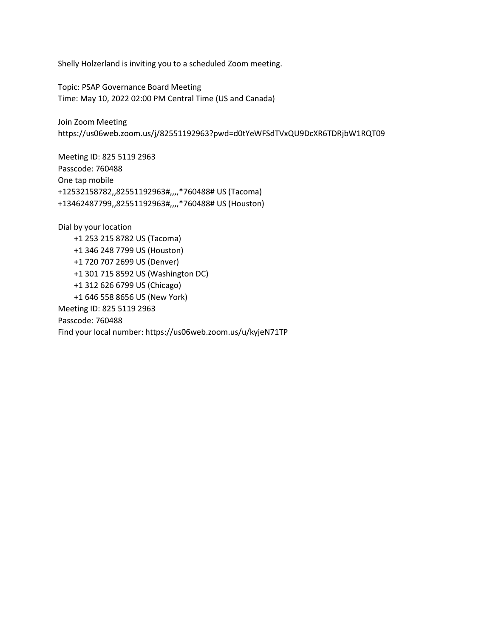Shelly Holzerland is inviting you to a scheduled Zoom meeting.

Topic: PSAP Governance Board Meeting Time: May 10, 2022 02:00 PM Central Time (US and Canada)

Join Zoom Meeting https://us06web.zoom.us/j/82551192963?pwd=d0tYeWFSdTVxQU9DcXR6TDRjbW1RQT09

Meeting ID: 825 5119 2963 Passcode: 760488 One tap mobile +12532158782,,82551192963#,,,,\*760488# US (Tacoma) +13462487799,,82551192963#,,,,\*760488# US (Houston)

Dial by your location +1 253 215 8782 US (Tacoma) +1 346 248 7799 US (Houston) +1 720 707 2699 US (Denver) +1 301 715 8592 US (Washington DC) +1 312 626 6799 US (Chicago) +1 646 558 8656 US (New York) Meeting ID: 825 5119 2963 Passcode: 760488 Find your local number: https://us06web.zoom.us/u/kyjeN71TP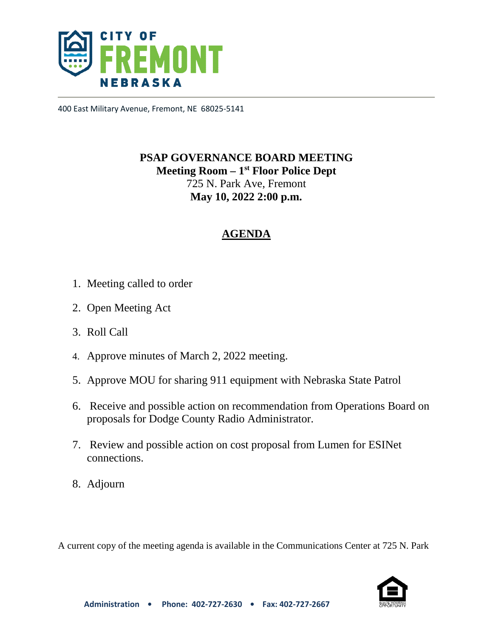

400 East Military Avenue, Fremont, NE 68025-5141

# **PSAP GOVERNANCE BOARD MEETING Meeting Room – 1st Floor Police Dept**  725 N. Park Ave, Fremont **May 10, 2022 2:00 p.m.**

## **AGENDA**

- 1. Meeting called to order
- 2. Open Meeting Act
- 3. Roll Call
- 4. Approve minutes of March 2, 2022 meeting.
- 5. Approve MOU for sharing 911 equipment with Nebraska State Patrol
- 6. Receive and possible action on recommendation from Operations Board on proposals for Dodge County Radio Administrator.
- 7. Review and possible action on cost proposal from Lumen for ESINet connections.
- 8. Adjourn

A current copy of the meeting agenda is available in the Communications Center at 725 N. Park

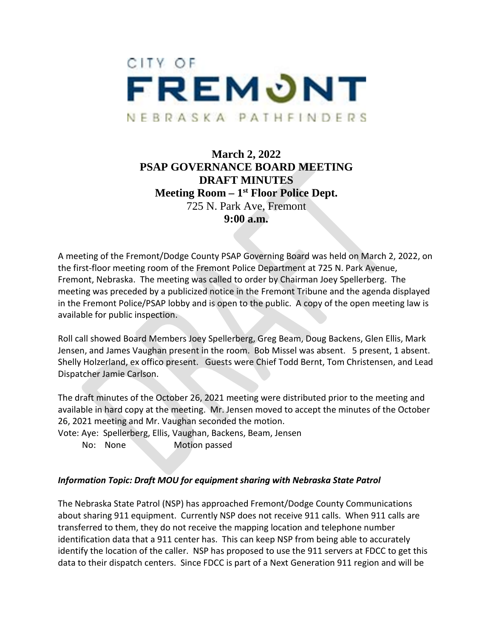

## **March 2, 2022 PSAP GOVERNANCE BOARD MEETING DRAFT MINUTES Meeting Room – 1st Floor Police Dept.**  725 N. Park Ave, Fremont **9:00 a.m.**

A meeting of the Fremont/Dodge County PSAP Governing Board was held on March 2, 2022, on the first-floor meeting room of the Fremont Police Department at 725 N. Park Avenue, Fremont, Nebraska. The meeting was called to order by Chairman Joey Spellerberg. The meeting was preceded by a publicized notice in the Fremont Tribune and the agenda displayed in the Fremont Police/PSAP lobby and is open to the public. A copy of the open meeting law is available for public inspection.

Roll call showed Board Members Joey Spellerberg, Greg Beam, Doug Backens, Glen Ellis, Mark Jensen, and James Vaughan present in the room. Bob Missel was absent. 5 present, 1 absent. Shelly Holzerland, ex offico present. Guests were Chief Todd Bernt, Tom Christensen, and Lead Dispatcher Jamie Carlson.

The draft minutes of the October 26, 2021 meeting were distributed prior to the meeting and available in hard copy at the meeting. Mr. Jensen moved to accept the minutes of the October 26, 2021 meeting and Mr. Vaughan seconded the motion.

Vote: Aye: Spellerberg, Ellis, Vaughan, Backens, Beam, Jensen

No: None Motion passed

### *Information Topic: Draft MOU for equipment sharing with Nebraska State Patrol*

The Nebraska State Patrol (NSP) has approached Fremont/Dodge County Communications about sharing 911 equipment. Currently NSP does not receive 911 calls. When 911 calls are transferred to them, they do not receive the mapping location and telephone number identification data that a 911 center has. This can keep NSP from being able to accurately identify the location of the caller. NSP has proposed to use the 911 servers at FDCC to get this data to their dispatch centers. Since FDCC is part of a Next Generation 911 region and will be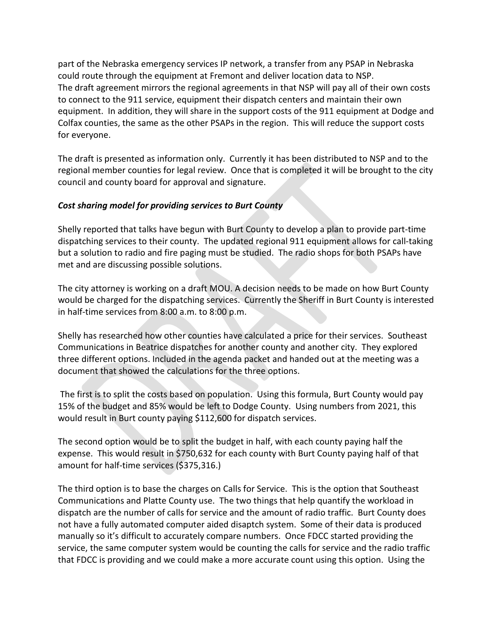part of the Nebraska emergency services IP network, a transfer from any PSAP in Nebraska could route through the equipment at Fremont and deliver location data to NSP. The draft agreement mirrors the regional agreements in that NSP will pay all of their own costs to connect to the 911 service, equipment their dispatch centers and maintain their own equipment. In addition, they will share in the support costs of the 911 equipment at Dodge and Colfax counties, the same as the other PSAPs in the region. This will reduce the support costs for everyone.

The draft is presented as information only. Currently it has been distributed to NSP and to the regional member counties for legal review. Once that is completed it will be brought to the city council and county board for approval and signature.

### *Cost sharing model for providing services to Burt County*

Shelly reported that talks have begun with Burt County to develop a plan to provide part-time dispatching services to their county. The updated regional 911 equipment allows for call-taking but a solution to radio and fire paging must be studied. The radio shops for both PSAPs have met and are discussing possible solutions.

The city attorney is working on a draft MOU. A decision needs to be made on how Burt County would be charged for the dispatching services. Currently the Sheriff in Burt County is interested in half-time services from 8:00 a.m. to 8:00 p.m.

Shelly has researched how other counties have calculated a price for their services. Southeast Communications in Beatrice dispatches for another county and another city. They explored three different options. Included in the agenda packet and handed out at the meeting was a document that showed the calculations for the three options.

 The first is to split the costs based on population. Using this formula, Burt County would pay 15% of the budget and 85% would be left to Dodge County. Using numbers from 2021, this would result in Burt county paying \$112,600 for dispatch services.

The second option would be to split the budget in half, with each county paying half the expense. This would result in \$750,632 for each county with Burt County paying half of that amount for half-time services (\$375,316.)

The third option is to base the charges on Calls for Service. This is the option that Southeast Communications and Platte County use. The two things that help quantify the workload in dispatch are the number of calls for service and the amount of radio traffic. Burt County does not have a fully automated computer aided disaptch system. Some of their data is produced manually so it's difficult to accurately compare numbers. Once FDCC started providing the service, the same computer system would be counting the calls for service and the radio traffic that FDCC is providing and we could make a more accurate count using this option. Using the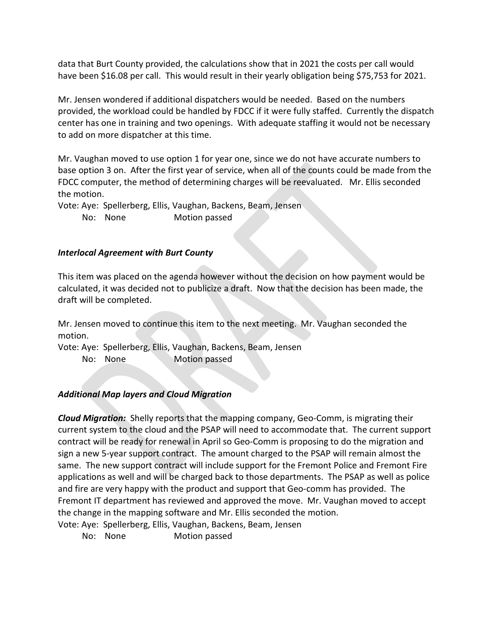data that Burt County provided, the calculations show that in 2021 the costs per call would have been \$16.08 per call. This would result in their yearly obligation being \$75,753 for 2021.

Mr. Jensen wondered if additional dispatchers would be needed. Based on the numbers provided, the workload could be handled by FDCC if it were fully staffed. Currently the dispatch center has one in training and two openings. With adequate staffing it would not be necessary to add on more dispatcher at this time.

Mr. Vaughan moved to use option 1 for year one, since we do not have accurate numbers to base option 3 on. After the first year of service, when all of the counts could be made from the FDCC computer, the method of determining charges will be reevaluated. Mr. Ellis seconded the motion.

Vote: Aye: Spellerberg, Ellis, Vaughan, Backens, Beam, Jensen No: None Motion passed

### *Interlocal Agreement with Burt County*

This item was placed on the agenda however without the decision on how payment would be calculated, it was decided not to publicize a draft. Now that the decision has been made, the draft will be completed.

Mr. Jensen moved to continue this item to the next meeting. Mr. Vaughan seconded the motion.

Vote: Aye: Spellerberg, Ellis, Vaughan, Backens, Beam, Jensen No: None Motion passed

### *Additional Map layers and Cloud Migration*

*Cloud Migration:* Shelly reports that the mapping company, Geo-Comm, is migrating their current system to the cloud and the PSAP will need to accommodate that. The current support contract will be ready for renewal in April so Geo-Comm is proposing to do the migration and sign a new 5-year support contract. The amount charged to the PSAP will remain almost the same. The new support contract will include support for the Fremont Police and Fremont Fire applications as well and will be charged back to those departments. The PSAP as well as police and fire are very happy with the product and support that Geo-comm has provided. The Fremont IT department has reviewed and approved the move. Mr. Vaughan moved to accept the change in the mapping software and Mr. Ellis seconded the motion.

Vote: Aye: Spellerberg, Ellis, Vaughan, Backens, Beam, Jensen

No: None Motion passed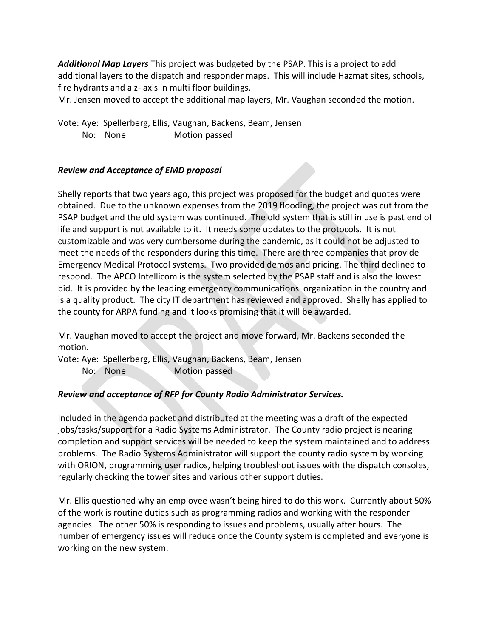*Additional Map Layers* This project was budgeted by the PSAP. This is a project to add additional layers to the dispatch and responder maps. This will include Hazmat sites, schools, fire hydrants and a z- axis in multi floor buildings.

Mr. Jensen moved to accept the additional map layers, Mr. Vaughan seconded the motion.

Vote: Aye: Spellerberg, Ellis, Vaughan, Backens, Beam, Jensen No: None Motion passed

### *Review and Acceptance of EMD proposal*

Shelly reports that two years ago, this project was proposed for the budget and quotes were obtained. Due to the unknown expenses from the 2019 flooding, the project was cut from the PSAP budget and the old system was continued. The old system that is still in use is past end of life and support is not available to it. It needs some updates to the protocols. It is not customizable and was very cumbersome during the pandemic, as it could not be adjusted to meet the needs of the responders during this time. There are three companies that provide Emergency Medical Protocol systems. Two provided demos and pricing. The third declined to respond. The APCO Intellicom is the system selected by the PSAP staff and is also the lowest bid. It is provided by the leading emergency communications organization in the country and is a quality product. The city IT department has reviewed and approved. Shelly has applied to the county for ARPA funding and it looks promising that it will be awarded.

Mr. Vaughan moved to accept the project and move forward, Mr. Backens seconded the motion.

Vote: Aye: Spellerberg, Ellis, Vaughan, Backens, Beam, Jensen No: None Motion passed

### *Review and acceptance of RFP for County Radio Administrator Services.*

Included in the agenda packet and distributed at the meeting was a draft of the expected jobs/tasks/support for a Radio Systems Administrator. The County radio project is nearing completion and support services will be needed to keep the system maintained and to address problems. The Radio Systems Administrator will support the county radio system by working with ORION, programming user radios, helping troubleshoot issues with the dispatch consoles, regularly checking the tower sites and various other support duties.

Mr. Ellis questioned why an employee wasn't being hired to do this work. Currently about 50% of the work is routine duties such as programming radios and working with the responder agencies. The other 50% is responding to issues and problems, usually after hours. The number of emergency issues will reduce once the County system is completed and everyone is working on the new system.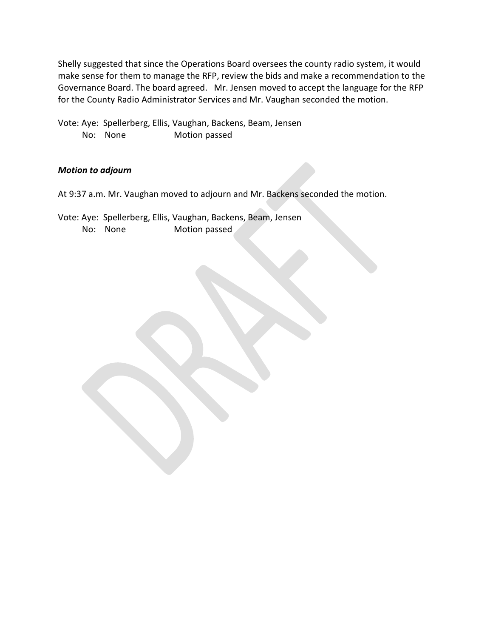Shelly suggested that since the Operations Board oversees the county radio system, it would make sense for them to manage the RFP, review the bids and make a recommendation to the Governance Board. The board agreed. Mr. Jensen moved to accept the language for the RFP for the County Radio Administrator Services and Mr. Vaughan seconded the motion.

Vote: Aye: Spellerberg, Ellis, Vaughan, Backens, Beam, Jensen No: None Motion passed

### *Motion to adjourn*

At 9:37 a.m. Mr. Vaughan moved to adjourn and Mr. Backens seconded the motion.

Vote: Aye: Spellerberg, Ellis, Vaughan, Backens, Beam, Jensen No: None Motion passed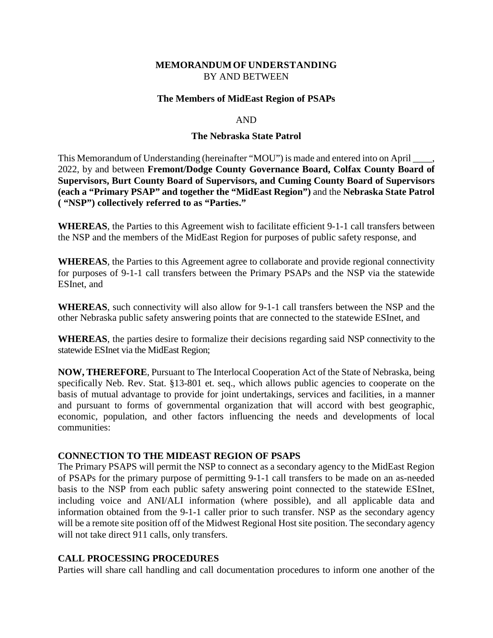### **MEMORANDUM OF UNDERSTANDING** BY AND BETWEEN

#### **The Members of MidEast Region of PSAPs**

#### AND

#### **The Nebraska State Patrol**

This Memorandum of Understanding (hereinafter "MOU") is made and entered into on April \_\_\_\_, 2022, by and between **Fremont/Dodge County Governance Board, Colfax County Board of Supervisors, Burt County Board of Supervisors, and Cuming County Board of Supervisors (each a "Primary PSAP" and together the "MidEast Region")** and the **Nebraska State Patrol ( "NSP") collectively referred to as "Parties."** 

**WHEREAS**, the Parties to this Agreement wish to facilitate efficient 9-1-1 call transfers between the NSP and the members of the MidEast Region for purposes of public safety response, and

**WHEREAS**, the Parties to this Agreement agree to collaborate and provide regional connectivity for purposes of 9-1-1 call transfers between the Primary PSAPs and the NSP via the statewide ESInet, and

**WHEREAS**, such connectivity will also allow for 9-1-1 call transfers between the NSP and the other Nebraska public safety answering points that are connected to the statewide ESInet, and

**WHEREAS**, the parties desire to formalize their decisions regarding said NSP connectivity to the statewide ESInet via the MidEast Region;

**NOW, THEREFORE**, Pursuant to The Interlocal Cooperation Act of the State of Nebraska, being specifically Neb. Rev. Stat. §13-801 et. seq., which allows public agencies to cooperate on the basis of mutual advantage to provide for joint undertakings, services and facilities, in a manner and pursuant to forms of governmental organization that will accord with best geographic, economic, population, and other factors influencing the needs and developments of local communities:

#### **CONNECTION TO THE MIDEAST REGION OF PSAPS**

The Primary PSAPS will permit the NSP to connect as a secondary agency to the MidEast Region of PSAPs for the primary purpose of permitting 9-1-1 call transfers to be made on an as-needed basis to the NSP from each public safety answering point connected to the statewide ESInet, including voice and ANI/ALI information (where possible), and all applicable data and information obtained from the 9-1-1 caller prior to such transfer. NSP as the secondary agency will be a remote site position off of the Midwest Regional Host site position. The secondary agency will not take direct 911 calls, only transfers.

### **CALL PROCESSING PROCEDURES**

Parties will share call handling and call documentation procedures to inform one another of the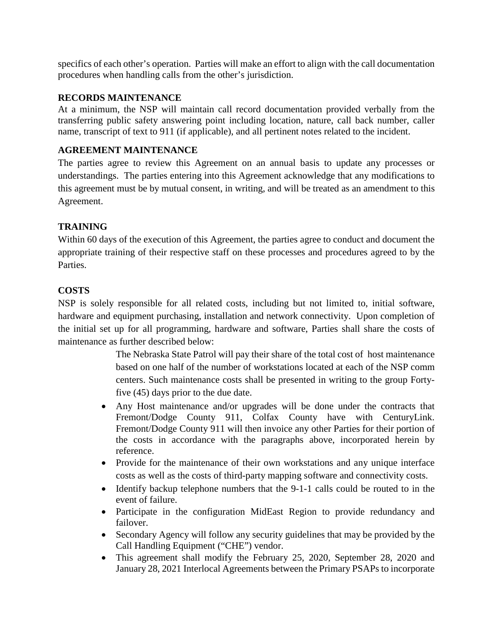specifics of each other's operation. Parties will make an effort to align with the call documentation procedures when handling calls from the other's jurisdiction.

### **RECORDS MAINTENANCE**

At a minimum, the NSP will maintain call record documentation provided verbally from the transferring public safety answering point including location, nature, call back number, caller name, transcript of text to 911 (if applicable), and all pertinent notes related to the incident.

### **AGREEMENT MAINTENANCE**

The parties agree to review this Agreement on an annual basis to update any processes or understandings. The parties entering into this Agreement acknowledge that any modifications to this agreement must be by mutual consent, in writing, and will be treated as an amendment to this Agreement.

### **TRAINING**

Within 60 days of the execution of this Agreement, the parties agree to conduct and document the appropriate training of their respective staff on these processes and procedures agreed to by the Parties.

### **COSTS**

NSP is solely responsible for all related costs, including but not limited to, initial software, hardware and equipment purchasing, installation and network connectivity. Upon completion of the initial set up for all programming, hardware and software, Parties shall share the costs of maintenance as further described below:

> The Nebraska State Patrol will pay their share of the total cost of host maintenance based on one half of the number of workstations located at each of the NSP comm centers. Such maintenance costs shall be presented in writing to the group Fortyfive (45) days prior to the due date.

- Any Host maintenance and/or upgrades will be done under the contracts that Fremont/Dodge County 911, Colfax County have with CenturyLink. Fremont/Dodge County 911 will then invoice any other Parties for their portion of the costs in accordance with the paragraphs above, incorporated herein by reference.
- Provide for the maintenance of their own workstations and any unique interface costs as well as the costs of third-party mapping software and connectivity costs.
- Identify backup telephone numbers that the 9-1-1 calls could be routed to in the event of failure.
- Participate in the configuration MidEast Region to provide redundancy and failover.
- Secondary Agency will follow any security guidelines that may be provided by the Call Handling Equipment ("CHE") vendor.
- This agreement shall modify the February 25, 2020, September 28, 2020 and January 28, 2021 Interlocal Agreements between the Primary PSAPs to incorporate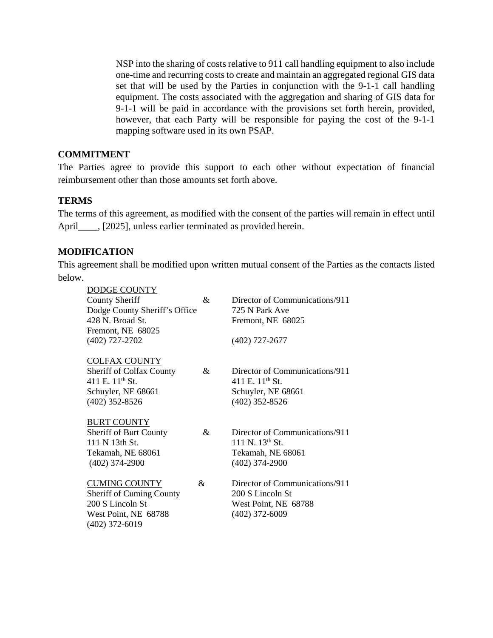NSP into the sharing of costs relative to 911 call handling equipment to also include one-time and recurring costs to create and maintain an aggregated regional GIS data set that will be used by the Parties in conjunction with the 9-1-1 call handling equipment. The costs associated with the aggregation and sharing of GIS data for 9-1-1 will be paid in accordance with the provisions set forth herein, provided, however, that each Party will be responsible for paying the cost of the 9-1-1 mapping software used in its own PSAP.

### **COMMITMENT**

The Parties agree to provide this support to each other without expectation of financial reimbursement other than those amounts set forth above.

#### **TERMS**

The terms of this agreement, as modified with the consent of the parties will remain in effect until April (2025), unless earlier terminated as provided herein.

### **MODIFICATION**

This agreement shall be modified upon written mutual consent of the Parties as the contacts listed below.

| DODGE COUNTY                    |    |                                |
|---------------------------------|----|--------------------------------|
| <b>County Sheriff</b>           | &  | Director of Communications/911 |
| Dodge County Sheriff's Office   |    | 725 N Park Ave                 |
| $428$ N. Broad St.              |    | Fremont, NE 68025              |
| Fremont, NE 68025               |    |                                |
| (402) 727-2702                  |    | (402) 727-2677                 |
|                                 |    |                                |
| <b>COLFAX COUNTY</b>            |    |                                |
| <b>Sheriff of Colfax County</b> | &  | Director of Communications/911 |
| 411 E. $11^{th}$ St.            |    | 411 E. $11^{th}$ St.           |
| Schuyler, NE 68661              |    | Schuyler, NE 68661             |
| $(402)$ 352-8526                |    | $(402)$ 352-8526               |
|                                 |    |                                |
| <b>BURT COUNTY</b>              |    |                                |
| Sheriff of Burt County          | &  | Director of Communications/911 |
| 111 N 13th St.                  |    | 111 N. $13^{th}$ St.           |
| Tekamah, NE 68061               |    | Tekamah, NE 68061              |
| $(402)$ 374-2900                |    | $(402)$ 374-2900               |
|                                 |    |                                |
| <b>CUMING COUNTY</b>            | &. | Director of Communications/911 |
| <b>Sheriff of Cuming County</b> |    | 200 S Lincoln St               |
| 200 S Lincoln St                |    | West Point, NE 68788           |
| West Point, NE 68788            |    | $(402)$ 372-6009               |
| $(402)$ 372-6019                |    |                                |
|                                 |    |                                |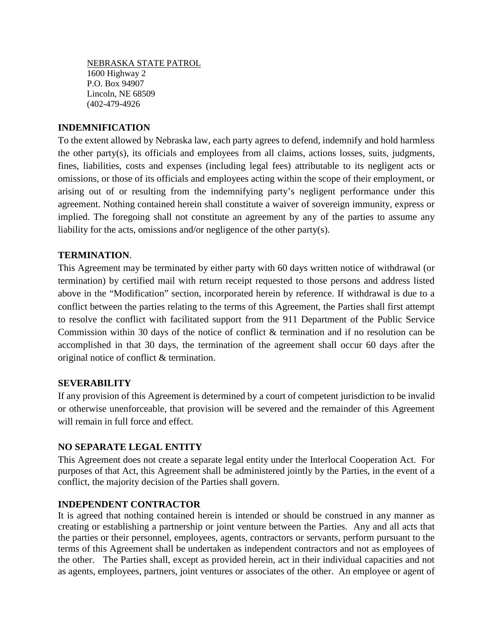NEBRASKA STATE PATROL 1600 Highway 2 P.O. Box 94907 Lincoln, NE 68509 (402-479-4926

### **INDEMNIFICATION**

To the extent allowed by Nebraska law, each party agrees to defend, indemnify and hold harmless the other party(s), its officials and employees from all claims, actions losses, suits, judgments, fines, liabilities, costs and expenses (including legal fees) attributable to its negligent acts or omissions, or those of its officials and employees acting within the scope of their employment, or arising out of or resulting from the indemnifying party's negligent performance under this agreement. Nothing contained herein shall constitute a waiver of sovereign immunity, express or implied. The foregoing shall not constitute an agreement by any of the parties to assume any liability for the acts, omissions and/or negligence of the other party(s).

### **TERMINATION**.

This Agreement may be terminated by either party with 60 days written notice of withdrawal (or termination) by certified mail with return receipt requested to those persons and address listed above in the "Modification" section, incorporated herein by reference. If withdrawal is due to a conflict between the parties relating to the terms of this Agreement, the Parties shall first attempt to resolve the conflict with facilitated support from the 911 Department of the Public Service Commission within 30 days of the notice of conflict & termination and if no resolution can be accomplished in that 30 days, the termination of the agreement shall occur 60 days after the original notice of conflict & termination.

### **SEVERABILITY**

If any provision of this Agreement is determined by a court of competent jurisdiction to be invalid or otherwise unenforceable, that provision will be severed and the remainder of this Agreement will remain in full force and effect.

#### **NO SEPARATE LEGAL ENTITY**

This Agreement does not create a separate legal entity under the Interlocal Cooperation Act. For purposes of that Act, this Agreement shall be administered jointly by the Parties, in the event of a conflict, the majority decision of the Parties shall govern.

#### **INDEPENDENT CONTRACTOR**

It is agreed that nothing contained herein is intended or should be construed in any manner as creating or establishing a partnership or joint venture between the Parties. Any and all acts that the parties or their personnel, employees, agents, contractors or servants, perform pursuant to the terms of this Agreement shall be undertaken as independent contractors and not as employees of the other. The Parties shall, except as provided herein, act in their individual capacities and not as agents, employees, partners, joint ventures or associates of the other. An employee or agent of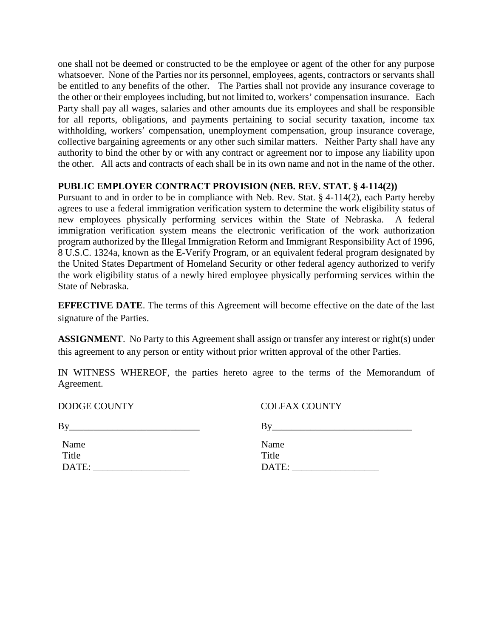one shall not be deemed or constructed to be the employee or agent of the other for any purpose whatsoever. None of the Parties nor its personnel, employees, agents, contractors or servants shall be entitled to any benefits of the other. The Parties shall not provide any insurance coverage to the other or their employees including, but not limited to, workers' compensation insurance. Each Party shall pay all wages, salaries and other amounts due its employees and shall be responsible for all reports, obligations, and payments pertaining to social security taxation, income tax withholding, workers' compensation, unemployment compensation, group insurance coverage, collective bargaining agreements or any other such similar matters. Neither Party shall have any authority to bind the other by or with any contract or agreement nor to impose any liability upon the other. All acts and contracts of each shall be in its own name and not in the name of the other.

### **PUBLIC EMPLOYER CONTRACT PROVISION (NEB. REV. STAT. § 4-114(2))**

Pursuant to and in order to be in compliance with Neb. Rev. Stat. § 4-114(2), each Party hereby agrees to use a federal immigration verification system to determine the work eligibility status of new employees physically performing services within the State of Nebraska. A federal immigration verification system means the electronic verification of the work authorization program authorized by the Illegal Immigration Reform and Immigrant Responsibility Act of 1996, 8 U.S.C. 1324a, known as the E-Verify Program, or an equivalent federal program designated by the United States Department of Homeland Security or other federal agency authorized to verify the work eligibility status of a newly hired employee physically performing services within the State of Nebraska.

**EFFECTIVE DATE**. The terms of this Agreement will become effective on the date of the last signature of the Parties.

**ASSIGNMENT**. No Party to this Agreement shall assign or transfer any interest or right(s) under this agreement to any person or entity without prior written approval of the other Parties.

IN WITNESS WHEREOF, the parties hereto agree to the terms of the Memorandum of Agreement.

| Name  | Name        |
|-------|-------------|
| Title | Title       |
| DATE: | <b>DATE</b> |

DODGE COUNTY COLFAX COUNTY

 $By$   $By$   $By$ 

DATE: \_\_\_\_\_\_\_\_\_\_\_\_\_\_\_\_\_\_\_\_ DATE: \_\_\_\_\_\_\_\_\_\_\_\_\_\_\_\_\_\_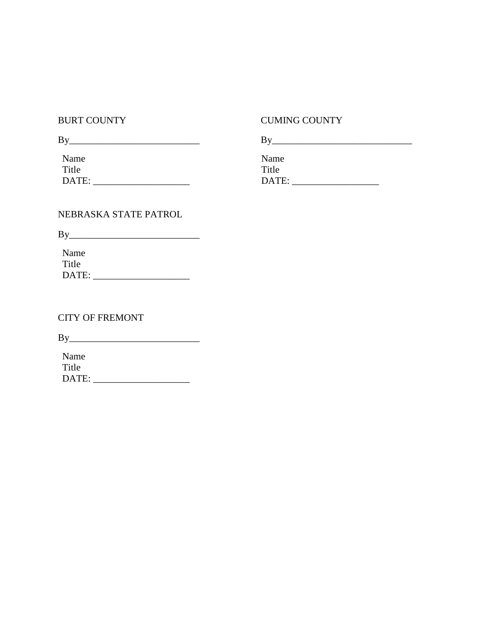### BURT COUNTY CUMING COUNTY

| By    | В     |
|-------|-------|
| Name  | Name  |
| Title | Title |
| DATE: | DATE: |

### NEBRASKA STATE PATROL

 $By$ 

Name Title DATE: \_\_\_\_\_\_\_\_\_\_\_\_\_\_\_\_\_\_\_\_

## CITY OF FREMONT

By\_\_\_\_\_\_\_\_\_\_\_\_\_\_\_\_\_\_\_\_\_\_\_\_\_\_\_

Name Title DATE: \_\_\_\_\_\_\_\_\_\_\_\_\_\_\_\_\_\_\_\_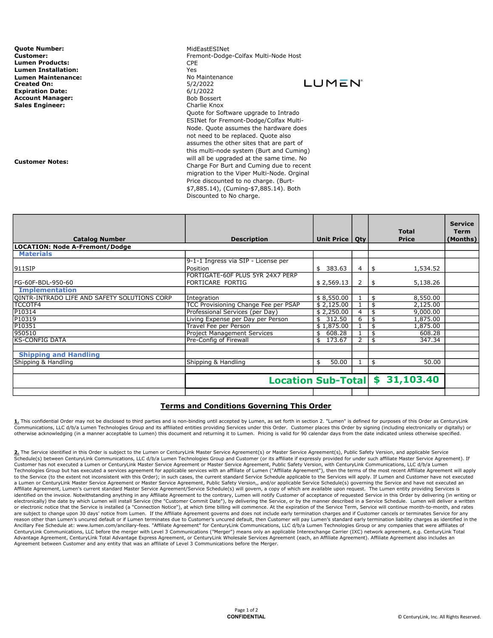**Quote Number:** MidEastESINet **Customer:** MidEastESINet And MidEastESINet And MidEastESINet And MidEastESINet And MidEastESINet And MidEastESINet And MidEastESINet And MidEastESINet And MidEastESINet And MidEastESINet And Lumen Products: CPE **Lumen Installation:**<br> **Lumen Maintenance:** 
The Control of Communist Communist Communist Communist Communist Communist Communist Commu<br> **Lumen Maintenance: Lumen Maintenance Lumen Maintenance:** No Maintenance: No Maintenance: No Maintenance: No Maintenance: No Maintenance: No Maintenan<br> **Created On:** Note: Note: No Maintenance: No Maintenance: No Maintenance: No Maintenance: No Maintenance: N Created On: Expiration Date:  $6/1/2022$ <br> **Account Manager:** expansion of the Bob Bossert of Bob Bossert **Account Manager:** Sales Engineer: Charlie Knox

Customer Notes:

Fremont-Dodge-Colfax Multi-Node Host **LUMEN**<sup>\*</sup> Quote for Software upgrade to Intrado ESINet for Fremont-Dodge/Colfax Multi-Node. Quote assumes the hardware does not need to be replaced. Quote also assumes the other sites that are part of this multi-node system (Burt and Cuming) will all be upgraded at the same time. No Charge For Burt and Cuming due to recent migration to the Viper Multi-Node. Orginal Price discounted to no charge. (Burt- \$7,885.14), (Cuming-\$7,885.14). Both Discounted to No charge.

|                                              |                                      |                  |                 | <b>Total</b>   | <b>Service</b><br><b>Term</b> |
|----------------------------------------------|--------------------------------------|------------------|-----------------|----------------|-------------------------------|
| <b>Catalog Number</b><br><b>Description</b>  |                                      | Unit Price   Qty |                 | <b>Price</b>   | (Months)                      |
| <b>LOCATION: Node A-Fremont/Dodge</b>        |                                      |                  |                 |                |                               |
| <b>Materials</b>                             |                                      |                  |                 |                |                               |
|                                              | 9-1-1 Ingress via SIP - License per  |                  |                 |                |                               |
| 911SIP                                       | Position                             | \$383.63         | 4               | 1,534.52<br>\$ |                               |
|                                              | FORTIGATE-60F PLUS 5YR 24X7 PERP     |                  |                 |                |                               |
| FG-60F-BDL-950-60                            | FORTICARE FORTIG                     | \$2,569.13       | 2               | 5,138.26<br>\$ |                               |
| <b>Implementation</b>                        |                                      |                  |                 |                |                               |
| QINTR-INTRADO LIFE AND SAFETY SOLUTIONS CORP | Integration                          | \$8,550.00       |                 | 8,550.00<br>\$ |                               |
| <b>TCCOTF4</b>                               | TCC Provisioning Change Fee per PSAP | \$2,125.00       |                 | 2,125.00       |                               |
| P10314                                       | Professional Services (per Day)      | \$2,250.00       | 4               | 9,000.00       |                               |
| P10319                                       | Living Expense per Day per Person    | 312.50<br>\$     | 6               | 1,875.00       |                               |
| P10351                                       | Travel Fee per Person                | \$1,875.00       |                 | 1,875.00       |                               |
| 950510                                       | Project Management Services          | 608.28<br>\$     |                 | 608.28<br>\$   |                               |
| <b>KS-CONFIG DATA</b>                        | Pre-Config of Firewall               | 173.67<br>\$     | $\mathcal{P}$   | 347.34<br>\$   |                               |
|                                              |                                      |                  |                 |                |                               |
| <b>Shipping and Handling</b>                 |                                      |                  |                 |                |                               |
| Shipping & Handling                          | Shipping & Handling                  | 50.00<br>\$      |                 | 50.00<br>\$    |                               |
|                                              |                                      |                  |                 |                |                               |
|                                              | <b>Location Sub-Totall</b>           |                  | 31,103.40<br>\$ |                |                               |
|                                              |                                      |                  |                 |                |                               |

#### Terms and Conditions Governing This Order

1. This confidential Order may not be disclosed to third parties and is non-binding until accepted by Lumen, as set forth in section 2. "Lumen" is defined for purposes of this Order as CenturyLink Communications, LLC d/b/a Lumen Technologies Group and its affiliated entities providing Services under this Order. Customer places this Order by signing (including electronically or digitally) or otherwise acknowledging (in a manner acceptable to Lumen) this document and returning it to Lumen. Pricing is valid for 90 calendar days from the date indicated unless otherwise specified.

2. The Service identified in this Order is subject to the Lumen or CenturyLink Master Service Agreement(s) or Master Service Agreement(s), Public Safety Version, and applicable Service Schedule(s) between CenturyLink Communications, LLC d/b/a Lumen Technologies Group and Customer (or its affiliate if expressly provided for under such affiliate Master Service Agreement). If Customer has not executed a Lumen or CenturyLink Master Service Agreement or Master Service Agreement, Public Safety Version, with CenturyLink Communications, LLC d/b/a Lumen<br>Technologies Group but has executed a services to the Service (to the extent not inconsistent with this Order); in such cases, the current standard Service Schedule applicable to the Services will apply. If Lumen and Customer have not executed a Lumen or CenturyLink Master Service Agreement or Master Service Agreement, Public Safety Version,, and/or applicable Service Schedule(s) governing the Service and have not executed an Affiliate Agreement, Lumen's current standard Master Service Agreement/Service Schedule(s) will govern, a copy of which are available upon request. The Lumen entity providing Services is identified on the invoice. Notwithstanding anything in any Affiliate Agreement to the contrary, Lumen will notify Customer of acceptance of requested Service in this Order by delivering (in writing or electronically) the date by which Lumen will install Service (the "Customer Commit Date"), by delivering the Service, or by the manner described in a Service Schedule. Lumen will deliver a written or electronic notice that the Service is installed (a "Connection Notice"), at which time billing will commence. At the expiration of the Service Term, Service will continue month-to-month, and rates are subject to change upon 30 days' notice from Lumen. If the Affiliate Agreement governs and does not include early termination charges and if Customer cancels or terminates Service for any reason other than Lumen's uncured default or if Lumen terminates due to Customer's uncured default, then Customer will pay Lumen's standard early termination liability charges as identified in the Ancillary Fee Schedule at: www.lumen.com/ancillary-fees. "Affiliate Agreement" for CenturyLink Communications, LLC d/b/a Lumen Technologies Group or any companies that were affiliates of CenturyLink Communications, LLC before the merger with Level 3 Communications ("Merger") means only an applicable Interexchange Carrier (IXC) network agreement, e.g. CenturyLink Total Advantage Agreement, CenturyLink Total Advantage Express Agreement, or CenturyLink Wholesale Services Agreement (each, an Affiliate Agreement). Affiliate Agreement also includes an Agreement between Customer and any entity that was an affiliate of Level 3 Communications before the Merger.